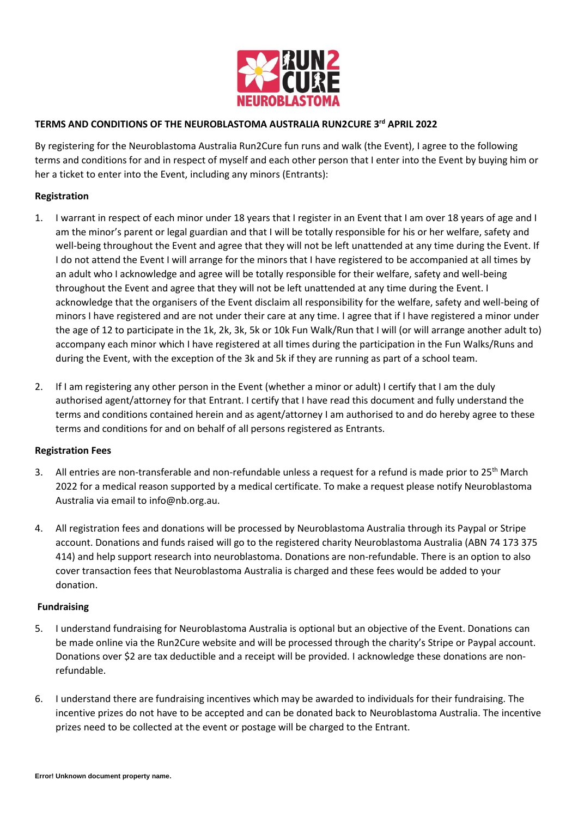

# **TERMS AND CONDITIONS OF THE NEUROBLASTOMA AUSTRALIA RUN2CURE 3 rd APRIL 2022**

By registering for the Neuroblastoma Australia Run2Cure fun runs and walk (the Event), I agree to the following terms and conditions for and in respect of myself and each other person that I enter into the Event by buying him or her a ticket to enter into the Event, including any minors (Entrants):

## **Registration**

- 1. I warrant in respect of each minor under 18 years that I register in an Event that I am over 18 years of age and I am the minor's parent or legal guardian and that I will be totally responsible for his or her welfare, safety and well-being throughout the Event and agree that they will not be left unattended at any time during the Event. If I do not attend the Event I will arrange for the minors that I have registered to be accompanied at all times by an adult who I acknowledge and agree will be totally responsible for their welfare, safety and well-being throughout the Event and agree that they will not be left unattended at any time during the Event. I acknowledge that the organisers of the Event disclaim all responsibility for the welfare, safety and well-being of minors I have registered and are not under their care at any time. I agree that if I have registered a minor under the age of 12 to participate in the 1k, 2k, 3k, 5k or 10k Fun Walk/Run that I will (or will arrange another adult to) accompany each minor which I have registered at all times during the participation in the Fun Walks/Runs and during the Event, with the exception of the 3k and 5k if they are running as part of a school team.
- 2. If I am registering any other person in the Event (whether a minor or adult) I certify that I am the duly authorised agent/attorney for that Entrant. I certify that I have read this document and fully understand the terms and conditions contained herein and as agent/attorney I am authorised to and do hereby agree to these terms and conditions for and on behalf of all persons registered as Entrants.

#### **Registration Fees**

- 3. All entries are non-transferable and non-refundable unless a request for a refund is made prior to 25<sup>th</sup> March 2022 for a medical reason supported by a medical certificate. To make a request please notify Neuroblastoma Australia via email to info@nb.org.au.
- 4. All registration fees and donations will be processed by Neuroblastoma Australia through its Paypal or Stripe account. Donations and funds raised will go to the registered charity Neuroblastoma Australia (ABN 74 173 375 414) and help support research into neuroblastoma. Donations are non-refundable. There is an option to also cover transaction fees that Neuroblastoma Australia is charged and these fees would be added to your donation.

#### **Fundraising**

- 5. I understand fundraising for Neuroblastoma Australia is optional but an objective of the Event. Donations can be made online via the Run2Cure website and will be processed through the charity's Stripe or Paypal account. Donations over \$2 are tax deductible and a receipt will be provided. I acknowledge these donations are nonrefundable.
- 6. I understand there are fundraising incentives which may be awarded to individuals for their fundraising. The incentive prizes do not have to be accepted and can be donated back to Neuroblastoma Australia. The incentive prizes need to be collected at the event or postage will be charged to the Entrant.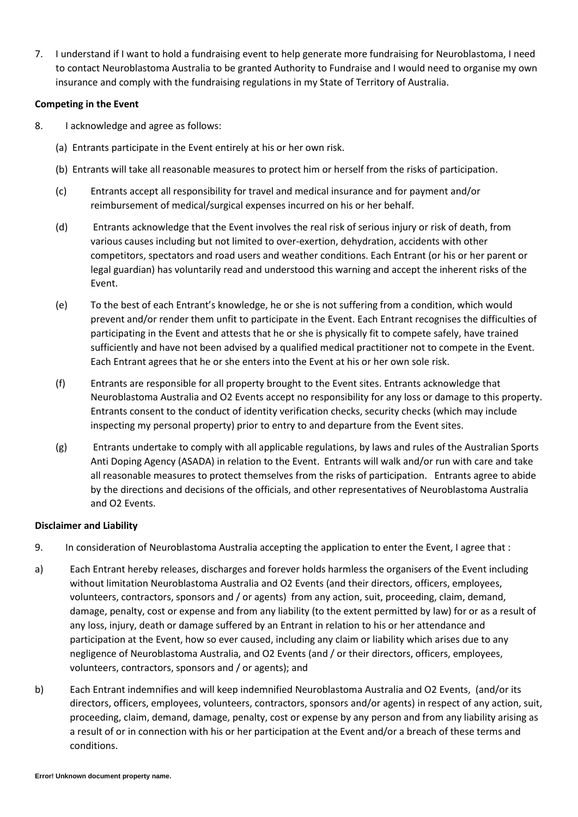7. I understand if I want to hold a fundraising event to help generate more fundraising for Neuroblastoma, I need to contact Neuroblastoma Australia to be granted Authority to Fundraise and I would need to organise my own insurance and comply with the fundraising regulations in my State of Territory of Australia.

## **Competing in the Event**

- 8. I acknowledge and agree as follows:
	- (a) Entrants participate in the Event entirely at his or her own risk.
	- (b) Entrants will take all reasonable measures to protect him or herself from the risks of participation.
	- (c) Entrants accept all responsibility for travel and medical insurance and for payment and/or reimbursement of medical/surgical expenses incurred on his or her behalf.
	- (d) Entrants acknowledge that the Event involves the real risk of serious injury or risk of death, from various causes including but not limited to over-exertion, dehydration, accidents with other competitors, spectators and road users and weather conditions. Each Entrant (or his or her parent or legal guardian) has voluntarily read and understood this warning and accept the inherent risks of the Event.
	- (e) To the best of each Entrant's knowledge, he or she is not suffering from a condition, which would prevent and/or render them unfit to participate in the Event. Each Entrant recognises the difficulties of participating in the Event and attests that he or she is physically fit to compete safely, have trained sufficiently and have not been advised by a qualified medical practitioner not to compete in the Event. Each Entrant agrees that he or she enters into the Event at his or her own sole risk.
	- (f) Entrants are responsible for all property brought to the Event sites. Entrants acknowledge that Neuroblastoma Australia and O2 Events accept no responsibility for any loss or damage to this property. Entrants consent to the conduct of identity verification checks, security checks (which may include inspecting my personal property) prior to entry to and departure from the Event sites.
	- (g) Entrants undertake to comply with all applicable regulations, by laws and rules of the Australian Sports Anti Doping Agency (ASADA) in relation to the Event. Entrants will walk and/or run with care and take all reasonable measures to protect themselves from the risks of participation. Entrants agree to abide by the directions and decisions of the officials, and other representatives of Neuroblastoma Australia and O2 Events.

# **Disclaimer and Liability**

- 9. In consideration of Neuroblastoma Australia accepting the application to enter the Event, I agree that :
- a) Each Entrant hereby releases, discharges and forever holds harmless the organisers of the Event including without limitation Neuroblastoma Australia and O2 Events (and their directors, officers, employees, volunteers, contractors, sponsors and / or agents) from any action, suit, proceeding, claim, demand, damage, penalty, cost or expense and from any liability (to the extent permitted by law) for or as a result of any loss, injury, death or damage suffered by an Entrant in relation to his or her attendance and participation at the Event, how so ever caused, including any claim or liability which arises due to any negligence of Neuroblastoma Australia, and O2 Events (and / or their directors, officers, employees, volunteers, contractors, sponsors and / or agents); and
- b) Each Entrant indemnifies and will keep indemnified Neuroblastoma Australia and O2 Events, (and/or its directors, officers, employees, volunteers, contractors, sponsors and/or agents) in respect of any action, suit, proceeding, claim, demand, damage, penalty, cost or expense by any person and from any liability arising as a result of or in connection with his or her participation at the Event and/or a breach of these terms and conditions.